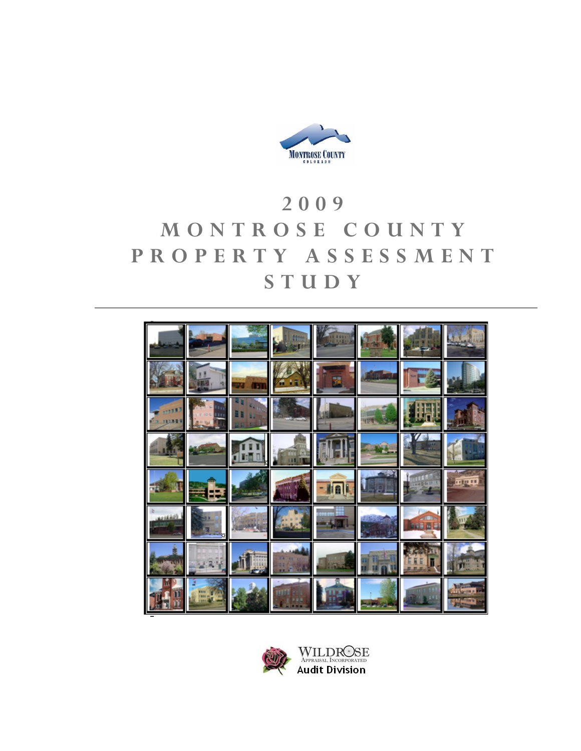

# **2009 MONTROSE COUNTY PROPERTY ASSESSMENT STUDY**



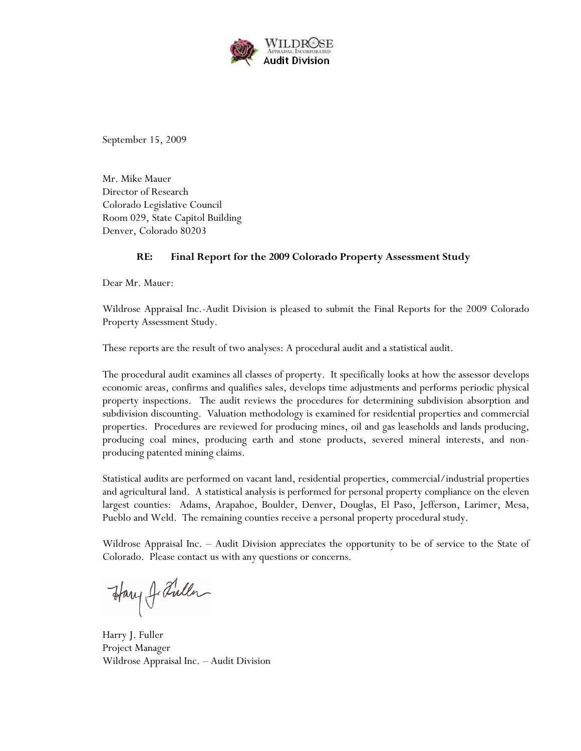

September 15, 2009

Mr. Mike Mauer Director of Research Colorado Legislative Council Room 029, State Capitol Building Denver, Colorado 80203

#### **RE: Final Report for the 2009 Colorado Property Assessment Study**

Dear Mr. Mauer:

Wildrose Appraisal Inc.-Audit Division is pleased to submit the Final Reports for the 2009 Colorado Property Assessment Study.

These reports are the result of two analyses: A procedural audit and a statistical audit.

The procedural audit examines all classes of property. It specifically looks at how the assessor develops economic areas, confirms and qualifies sales, develops time adjustments and performs periodic physical property inspections. The audit reviews the procedures for determining subdivision absorption and subdivision discounting. Valuation methodology is examined for residential properties and commercial properties. Procedures are reviewed for producing mines, oil and gas leaseholds and lands producing, producing coal mines, producing earth and stone products, severed mineral interests, and nonproducing patented mining claims.

Statistical audits are performed on vacant land, residential properties, commercial/industrial properties and agricultural land. A statistical analysis is performed for personal property compliance on the eleven largest counties: Adams, Arapahoe, Boulder, Denver, Douglas, El Paso, Jefferson, Larimer, Mesa, Pueblo and Weld. The remaining counties receive a personal property procedural study.

Wildrose Appraisal Inc. – Audit Division appreciates the opportunity to be of service to the State of Colorado. Please contact us with any questions or concerns.

Harry J. Fuller

Harry J. Fuller Project Manager Wildrose Appraisal Inc. – Audit Division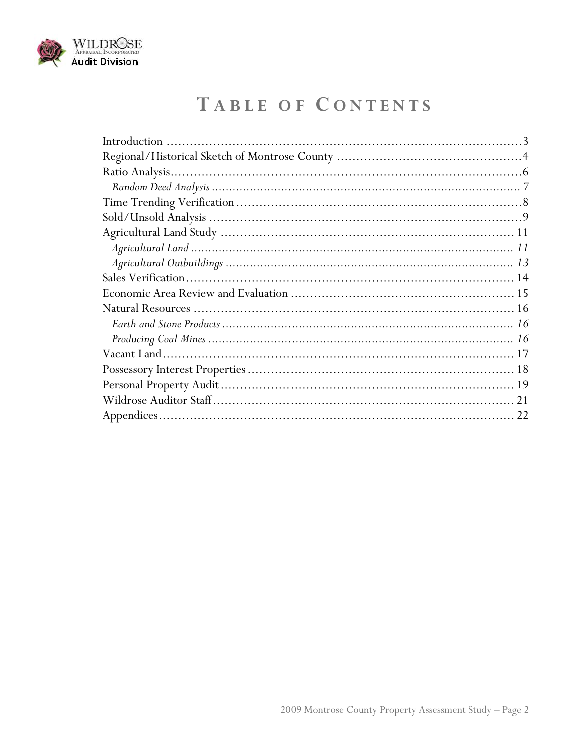

# TABLE OF CONTENTS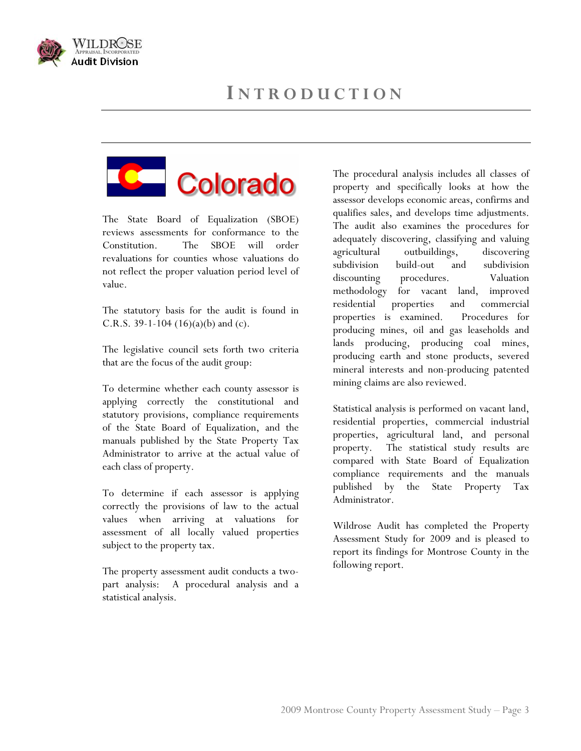





The State Board of Equalization (SBOE) reviews assessments for conformance to the Constitution. The SBOE will order revaluations for counties whose valuations do not reflect the proper valuation period level of value.

The statutory basis for the audit is found in C.R.S. 39-1-104  $(16)(a)(b)$  and  $(c)$ .

The legislative council sets forth two criteria that are the focus of the audit group:

To determine whether each county assessor is applying correctly the constitutional and statutory provisions, compliance requirements of the State Board of Equalization, and the manuals published by the State Property Tax Administrator to arrive at the actual value of each class of property.

To determine if each assessor is applying correctly the provisions of law to the actual values when arriving at valuations for assessment of all locally valued properties subject to the property tax.

The property assessment audit conducts a twopart analysis: A procedural analysis and a statistical analysis.

The procedural analysis includes all classes of property and specifically looks at how the assessor develops economic areas, confirms and qualifies sales, and develops time adjustments. The audit also examines the procedures for adequately discovering, classifying and valuing agricultural outbuildings, discovering subdivision build-out and subdivision discounting procedures. Valuation methodology for vacant land, improved residential properties and commercial properties is examined. Procedures for producing mines, oil and gas leaseholds and lands producing, producing coal mines, producing earth and stone products, severed mineral interests and non-producing patented mining claims are also reviewed.

Statistical analysis is performed on vacant land, residential properties, commercial industrial properties, agricultural land, and personal property. The statistical study results are compared with State Board of Equalization compliance requirements and the manuals published by the State Property Tax Administrator.

Wildrose Audit has completed the Property Assessment Study for 2009 and is pleased to report its findings for Montrose County in the following report.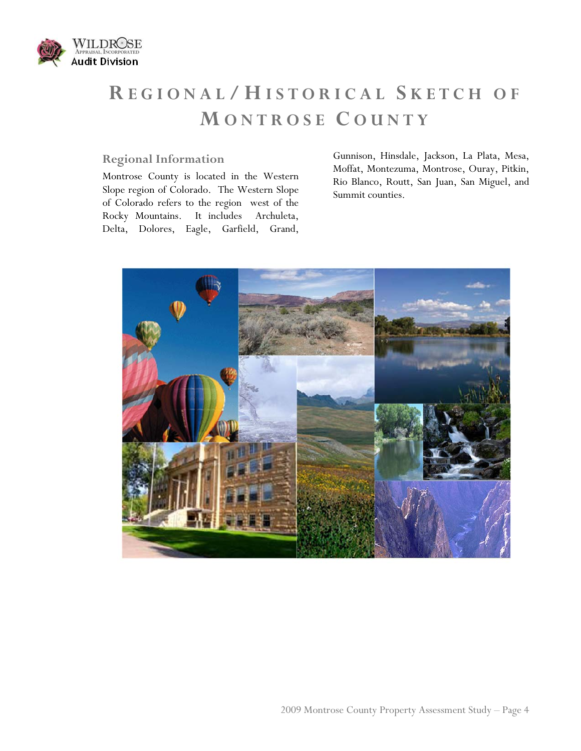

# **R EGIONAL / H ISTORICAL S KETCH OF M ONTROSE C OUNTY**

### **Regional Information**

Montrose County is located in the Western Slope region of Colorado. The Western Slope of Colorado refers to the region west of the Rocky Mountains. It includes Archuleta, Delta, Dolores, Eagle, Garfield, Grand, Gunnison, Hinsdale, Jackson, La Plata, Mesa, Moffat, Montezuma, Montrose, Ouray, Pitkin, Rio Blanco, Routt, San Juan, San Miguel, and Summit counties.

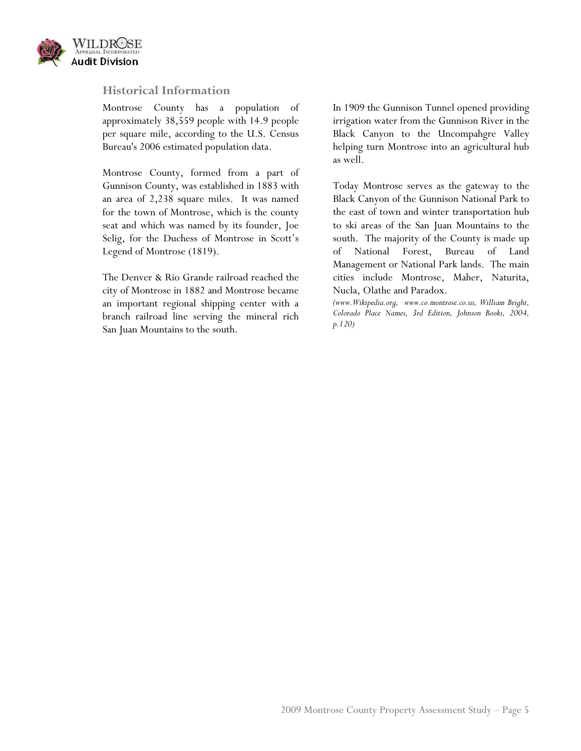

#### **Historical Information**

Montrose County has a population of approximately 38,559 people with 14.9 people per square mile, according to the U.S. Census Bureau's 2006 estimated population data.

Montrose County, formed from a part of Gunnison County, was established in 1883 with an area of 2,238 square miles. It was named for the town of Montrose, which is the county seat and which was named by its founder, Joe Selig, for the Duchess of Montrose in Scott's Legend of Montrose (1819).

The Denver & Rio Grande railroad reached the city of Montrose in 1882 and Montrose became an important regional shipping center with a branch railroad line serving the mineral rich San Juan Mountains to the south.

In 1909 the Gunnison Tunnel opened providing irrigation water from the Gunnison River in the Black Canyon to the Uncompahgre Valley helping turn Montrose into an agricultural hub as well.

Today Montrose serves as the gateway to the Black Canyon of the Gunnison National Park to the east of town and winter transportation hub to ski areas of the San Juan Mountains to the south. The majority of the County is made up of National Forest, Bureau of Land Management or National Park lands. The main cities include Montrose, Maher, Naturita, Nucla, Olathe and Paradox.

*(www.Wikipedia.org, www.co.montrose.co.us, William Bright, Colorado Place Names, 3rd Edition, Johnson Books, 2004, p.120)*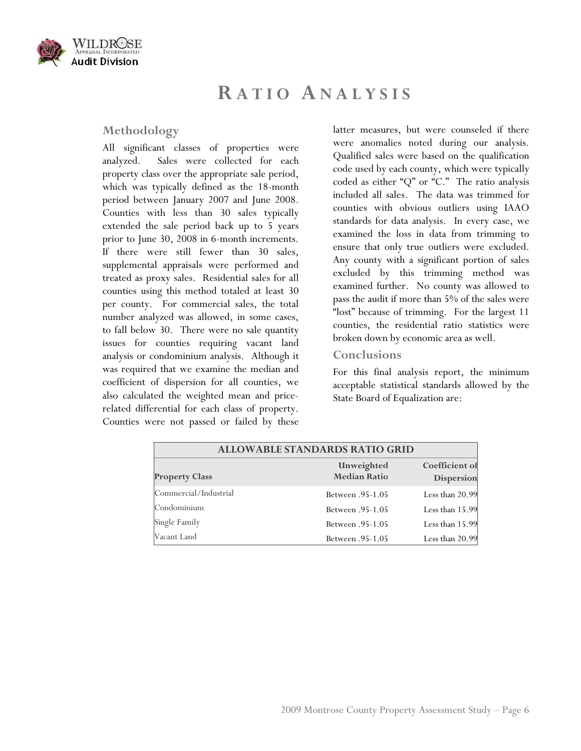

## **R ATIO ANALYSIS**

#### **Methodology**

All significant classes of properties were analyzed. Sales were collected for each property class over the appropriate sale period, which was typically defined as the 18-month period between January 2007 and June 2008. Counties with less than 30 sales typically extended the sale period back up to 5 years prior to June 30, 2008 in 6-month increments. If there were still fewer than 30 sales, supplemental appraisals were performed and treated as proxy sales. Residential sales for all counties using this method totaled at least 30 per county. For commercial sales, the total number analyzed was allowed, in some cases, to fall below 30. There were no sale quantity issues for counties requiring vacant land analysis or condominium analysis. Although it was required that we examine the median and coefficient of dispersion for all counties, we also calculated the weighted mean and pricerelated differential for each class of property. Counties were not passed or failed by these

latter measures, but were counseled if there were anomalies noted during our analysis. Qualified sales were based on the qualification code used by each county, which were typically coded as either "Q" or "C." The ratio analysis included all sales. The data was trimmed for counties with obvious outliers using IAAO standards for data analysis. In every case, we examined the loss in data from trimming to ensure that only true outliers were excluded. Any county with a significant portion of sales excluded by this trimming method was examined further. No county was allowed to pass the audit if more than 5% of the sales were "lost" because of trimming. For the largest 11 counties, the residential ratio statistics were broken down by economic area as well.

#### **Conclusions**

For this final analysis report, the minimum acceptable statistical standards allowed by the State Board of Equalization are:

| <b>ALLOWABLE STANDARDS RATIO GRID</b> |                                   |                              |
|---------------------------------------|-----------------------------------|------------------------------|
| <b>Property Class</b>                 | Unweighted<br><b>Median Ratio</b> | Coefficient of<br>Dispersion |
| Commercial/Industrial                 | <b>Between</b> .95-1.05           | Less than 20.99              |
| Condominium                           | <b>Between</b> .95-1.05           | Less than 15.99              |
| Single Family                         | <b>Between</b> .95-1.05           | Less than 15.99              |
| Vacant Land                           | <b>Between</b> .95-1.05           | Less than 20.99              |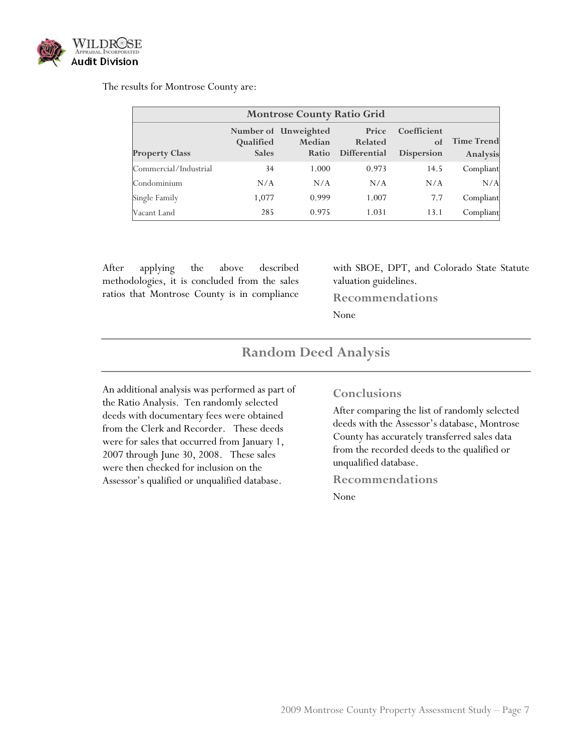

#### The results for Montrose County are:

| <b>Montrose County Ratio Grid</b> |                           |                                         |                                  |                                        |                               |  |
|-----------------------------------|---------------------------|-----------------------------------------|----------------------------------|----------------------------------------|-------------------------------|--|
| <b>Property Class</b>             | Qualified<br><b>Sales</b> | Number of Unweighted<br>Median<br>Ratio | Price<br>Related<br>Differential | Coefficient<br>of<br><b>Dispersion</b> | <b>Time Trend</b><br>Analysis |  |
| Commercial/Industrial             | 34                        | 1.000                                   | 0.973                            | 14.5                                   | Compliant                     |  |
| Condominium                       | N/A                       | N/A                                     | N/A                              | N/A                                    | N/A                           |  |
| Single Family                     | 1,077                     | 0.999                                   | 1.007                            | 7.7                                    | Compliant                     |  |
| Vacant Land                       | 285                       | 0.975                                   | 1.031                            | 13.1                                   | Compliant                     |  |

After applying the above described methodologies, it is concluded from the sales ratios that Montrose County is in compliance

Assessor's qualified or unqualified database.

with SBOE, DPT, and Colorado State Statute valuation guidelines.

**Recommendations** 

None

#### **Random Deed Analysis**  An additional analysis was performed as part of the Ratio Analysis. Ten randomly selected deeds with documentary fees were obtained from the Clerk and Recorder. These deeds were for sales that occurred from January 1, 2007 through June 30, 2008. These sales were then checked for inclusion on the **Conclusions**  After comparing the list of randomly selected deeds with the Assessor's database, Montrose County has accurately transferred sales data from the recorded deeds to the qualified or unqualified database.

#### **Recommendations**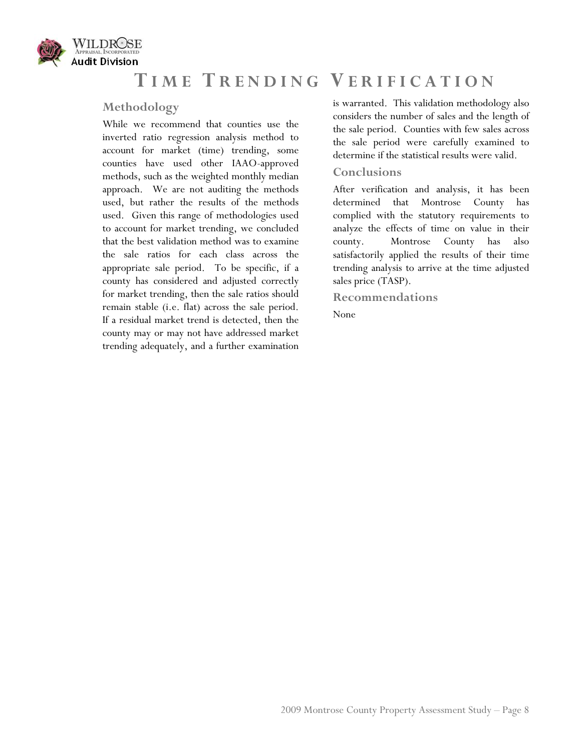

## **T IME T RENDING V ERIFICATION**

#### **Methodology**

While we recommend that counties use the inverted ratio regression analysis method to account for market (time) trending, some counties have used other IAAO-approved methods, such as the weighted monthly median approach. We are not auditing the methods used, but rather the results of the methods used. Given this range of methodologies used to account for market trending, we concluded that the best validation method was to examine the sale ratios for each class across the appropriate sale period. To be specific, if a county has considered and adjusted correctly for market trending, then the sale ratios should remain stable (i.e. flat) across the sale period. If a residual market trend is detected, then the county may or may not have addressed market trending adequately, and a further examination

is warranted. This validation methodology also considers the number of sales and the length of the sale period. Counties with few sales across the sale period were carefully examined to determine if the statistical results were valid.

#### **Conclusions**

After verification and analysis, it has been determined that Montrose County has complied with the statutory requirements to analyze the effects of time on value in their county. Montrose County has also satisfactorily applied the results of their time trending analysis to arrive at the time adjusted sales price (TASP).

**Recommendations**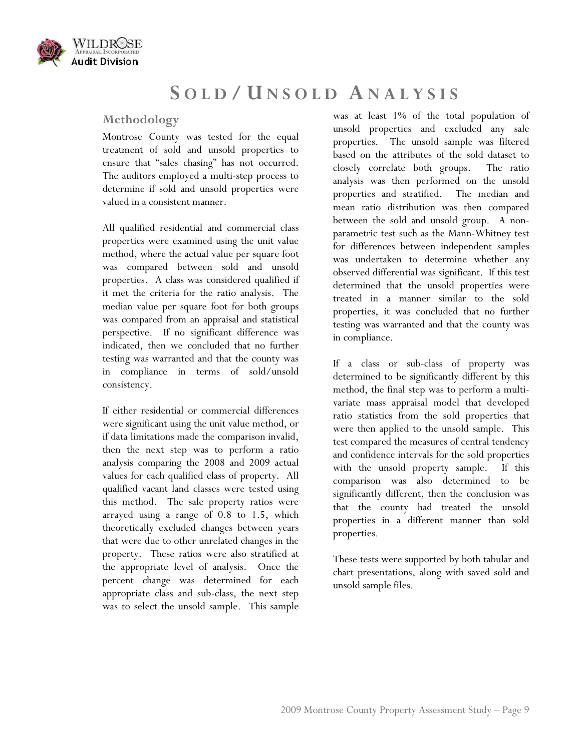

## **S OLD / U NSOLD ANALYSIS**

### **Methodology**

Montrose County was tested for the equal treatment of sold and unsold properties to ensure that "sales chasing" has not occurred. The auditors employed a multi-step process to determine if sold and unsold properties were valued in a consistent manner.

All qualified residential and commercial class properties were examined using the unit value method, where the actual value per square foot was compared between sold and unsold properties. A class was considered qualified if it met the criteria for the ratio analysis. The median value per square foot for both groups was compared from an appraisal and statistical perspective. If no significant difference was indicated, then we concluded that no further testing was warranted and that the county was in compliance in terms of sold/unsold consistency.

If either residential or commercial differences were significant using the unit value method, or if data limitations made the comparison invalid, then the next step was to perform a ratio analysis comparing the 2008 and 2009 actual values for each qualified class of property. All qualified vacant land classes were tested using this method. The sale property ratios were arrayed using a range of 0.8 to 1.5, which theoretically excluded changes between years that were due to other unrelated changes in the property. These ratios were also stratified at the appropriate level of analysis. Once the percent change was determined for each appropriate class and sub-class, the next step was to select the unsold sample. This sample

was at least 1% of the total population of unsold properties and excluded any sale properties. The unsold sample was filtered based on the attributes of the sold dataset to closely correlate both groups. The ratio analysis was then performed on the unsold properties and stratified. The median and mean ratio distribution was then compared between the sold and unsold group. A nonparametric test such as the Mann-Whitney test for differences between independent samples was undertaken to determine whether any observed differential was significant. If this test determined that the unsold properties were treated in a manner similar to the sold properties, it was concluded that no further testing was warranted and that the county was in compliance.

If a class or sub-class of property was determined to be significantly different by this method, the final step was to perform a multivariate mass appraisal model that developed ratio statistics from the sold properties that were then applied to the unsold sample. This test compared the measures of central tendency and confidence intervals for the sold properties with the unsold property sample. If this comparison was also determined to be significantly different, then the conclusion was that the county had treated the unsold properties in a different manner than sold properties.

These tests were supported by both tabular and chart presentations, along with saved sold and unsold sample files.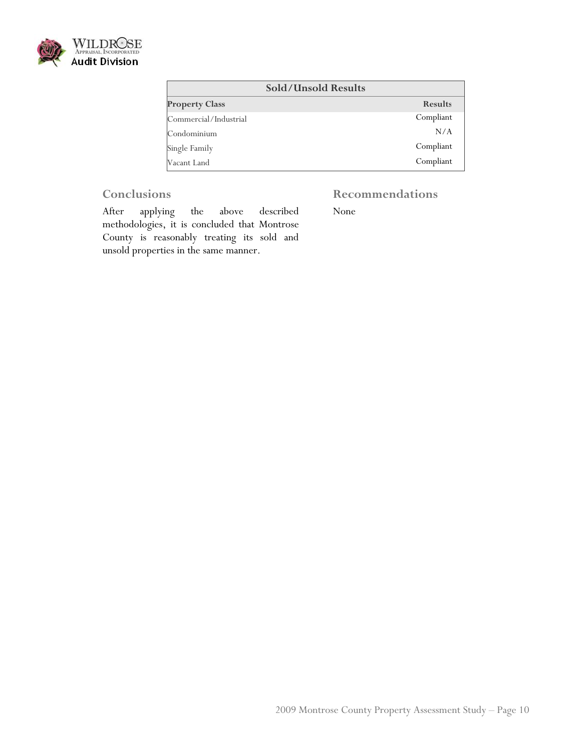

| <b>Sold/Unsold Results</b> |                |
|----------------------------|----------------|
| <b>Property Class</b>      | <b>Results</b> |
| Commercial/Industrial      | Compliant      |
| Condominium                | N/A            |
| Single Family              | Compliant      |
| Vacant Land                | Compliant      |

### **Conclusions**

## **Recommendations**

After applying the above described methodologies, it is concluded that Montrose County is reasonably treating its sold and unsold properties in the same manner.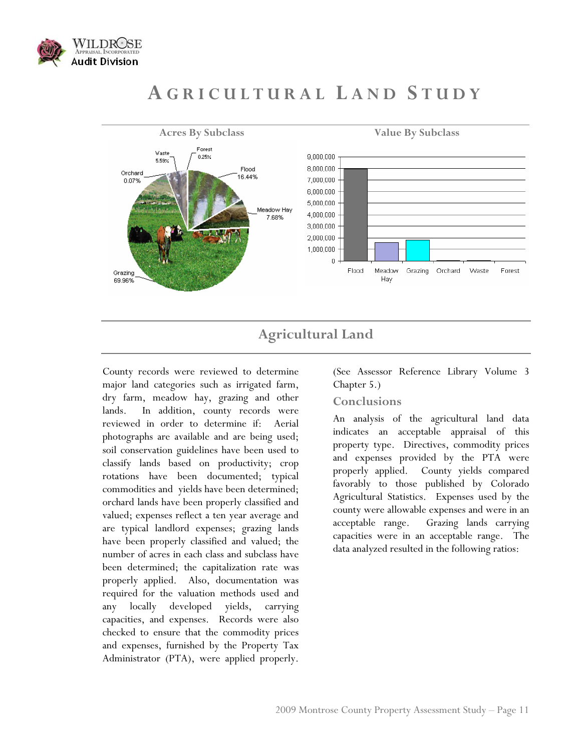

## **A GRICULTURAL L AND S TUDY**



## **Agricultural Land**

County records were reviewed to determine major land categories such as irrigated farm, dry farm, meadow hay, grazing and other lands. In addition, county records were reviewed in order to determine if: Aerial photographs are available and are being used; soil conservation guidelines have been used to classify lands based on productivity; crop rotations have been documented; typical commodities and yields have been determined; orchard lands have been properly classified and valued; expenses reflect a ten year average and are typical landlord expenses; grazing lands have been properly classified and valued; the number of acres in each class and subclass have been determined; the capitalization rate was properly applied. Also, documentation was required for the valuation methods used and any locally developed yields, carrying capacities, and expenses. Records were also checked to ensure that the commodity prices and expenses, furnished by the Property Tax Administrator (PTA), were applied properly.

(See Assessor Reference Library Volume 3 Chapter 5.)

#### **Conclusions**

An analysis of the agricultural land data indicates an acceptable appraisal of this property type. Directives, commodity prices and expenses provided by the PTA were properly applied. County yields compared favorably to those published by Colorado Agricultural Statistics. Expenses used by the county were allowable expenses and were in an acceptable range. Grazing lands carrying capacities were in an acceptable range. The data analyzed resulted in the following ratios: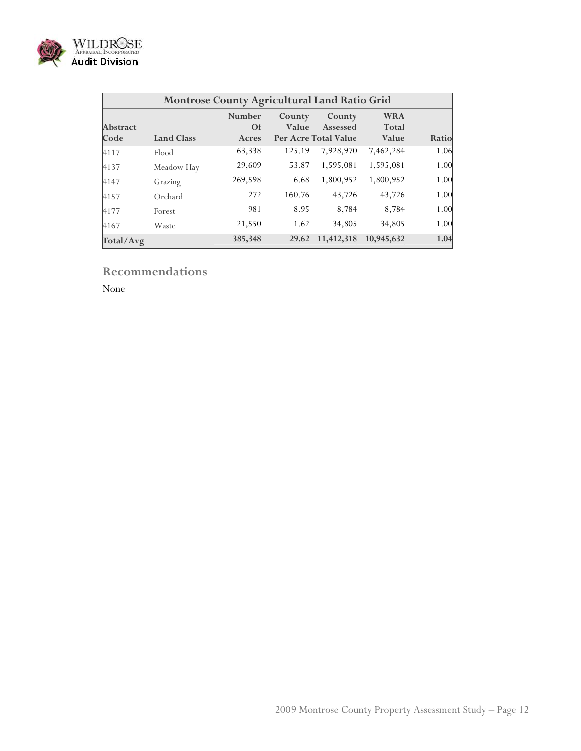

|                         | <b>Montrose County Agricultural Land Ratio Grid</b> |                              |                 |                                            |                              |       |  |
|-------------------------|-----------------------------------------------------|------------------------------|-----------------|--------------------------------------------|------------------------------|-------|--|
| <b>Abstract</b><br>Code | <b>Land Class</b>                                   | Number<br><b>Of</b><br>Acres | County<br>Value | County<br>Assessed<br>Per Acre Total Value | <b>WRA</b><br>Total<br>Value | Ratio |  |
| 4117                    | Flood                                               | 63,338                       | 125.19          | 7,928,970                                  | 7,462,284                    | 1.06  |  |
| 4137                    | Meadow Hay                                          | 29,609                       | 53.87           | 1,595,081                                  | 1,595,081                    | 1.00  |  |
| 4147                    | Grazing                                             | 269,598                      | 6.68            | 1,800,952                                  | 1,800,952                    | 1.00  |  |
| 4157                    | Orchard                                             | 272                          | 160.76          | 43,726                                     | 43,726                       | 1.00  |  |
| 4177                    | Forest                                              | 981                          | 8.95            | 8,784                                      | 8,784                        | 1.00  |  |
| 4167                    | Waste                                               | 21,550                       | 1.62            | 34,805                                     | 34,805                       | 1.00  |  |
| Total/Avg               |                                                     | 385,348                      | 29.62           | 11,412,318                                 | 10,945,632                   | 1.04  |  |

## **Recommendations**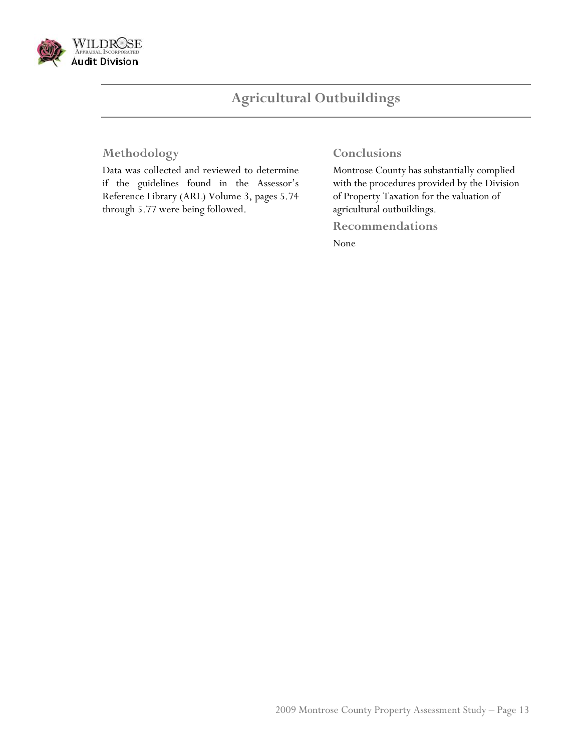

## **Agricultural Outbuildings**

## **Methodology**

Data was collected and reviewed to determine if the guidelines found in the Assessor's Reference Library (ARL) Volume 3, pages 5.74 through 5.77 were being followed.

### **Conclusions**

Montrose County has substantially complied with the procedures provided by the Division of Property Taxation for the valuation of agricultural outbuildings.

**Recommendations**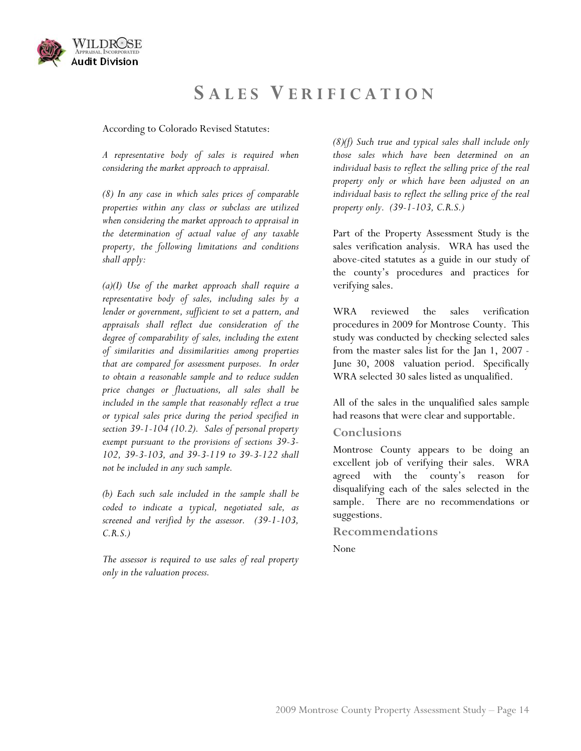

## **S ALES V ERIFICATION**

According to Colorado Revised Statutes:

*A representative body of sales is required when considering the market approach to appraisal.* 

*(8) In any case in which sales prices of comparable properties within any class or subclass are utilized when considering the market approach to appraisal in the determination of actual value of any taxable property, the following limitations and conditions shall apply:* 

*(a)(I) Use of the market approach shall require a representative body of sales, including sales by a lender or government, sufficient to set a pattern, and appraisals shall reflect due consideration of the degree of comparability of sales, including the extent of similarities and dissimilarities among properties that are compared for assessment purposes. In order to obtain a reasonable sample and to reduce sudden price changes or fluctuations, all sales shall be included in the sample that reasonably reflect a true or typical sales price during the period specified in section 39-1-104 (10.2). Sales of personal property exempt pursuant to the provisions of sections 39-3- 102, 39-3-103, and 39-3-119 to 39-3-122 shall not be included in any such sample.* 

*(b) Each such sale included in the sample shall be coded to indicate a typical, negotiated sale, as screened and verified by the assessor. (39-1-103, C.R.S.)* 

*The assessor is required to use sales of real property only in the valuation process.* 

*(8)(f) Such true and typical sales shall include only those sales which have been determined on an individual basis to reflect the selling price of the real property only or which have been adjusted on an individual basis to reflect the selling price of the real property only. (39-1-103, C.R.S.)* 

Part of the Property Assessment Study is the sales verification analysis. WRA has used the above-cited statutes as a guide in our study of the county's procedures and practices for verifying sales.

WRA reviewed the sales verification procedures in 2009 for Montrose County. This study was conducted by checking selected sales from the master sales list for the Jan 1, 2007 - June 30, 2008 valuation period. Specifically WRA selected 30 sales listed as unqualified.

All of the sales in the unqualified sales sample had reasons that were clear and supportable.

#### **Conclusions**

Montrose County appears to be doing an excellent job of verifying their sales. WRA agreed with the county's reason for disqualifying each of the sales selected in the sample. There are no recommendations or suggestions.

#### **Recommendations**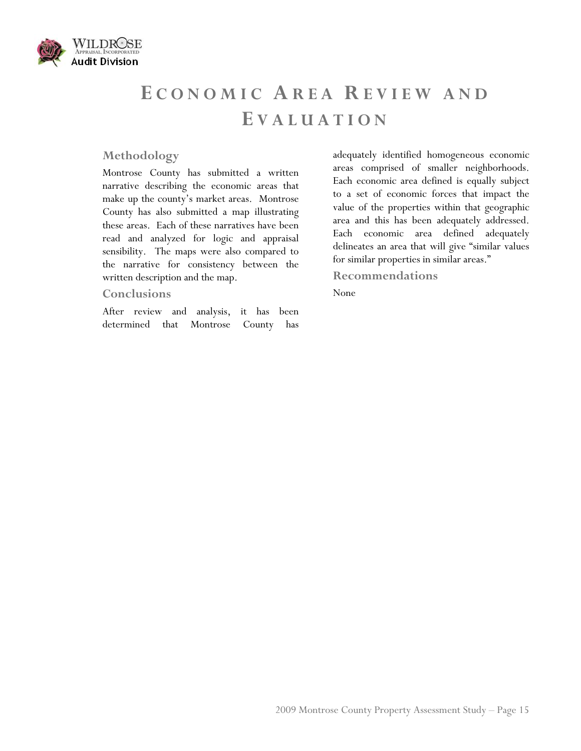

# **E CONOMIC AREA R EVIEW AND E VALUATION**

#### **Methodology**

Montrose County has submitted a written narrative describing the economic areas that make up the county's market areas. Montrose County has also submitted a map illustrating these areas. Each of these narratives have been read and analyzed for logic and appraisal sensibility. The maps were also compared to the narrative for consistency between the written description and the map.

#### **Conclusions**

After review and analysis, it has been determined that Montrose County has adequately identified homogeneous economic areas comprised of smaller neighborhoods. Each economic area defined is equally subject to a set of economic forces that impact the value of the properties within that geographic area and this has been adequately addressed. Each economic area defined adequately delineates an area that will give "similar values for similar properties in similar areas."

#### **Recommendations**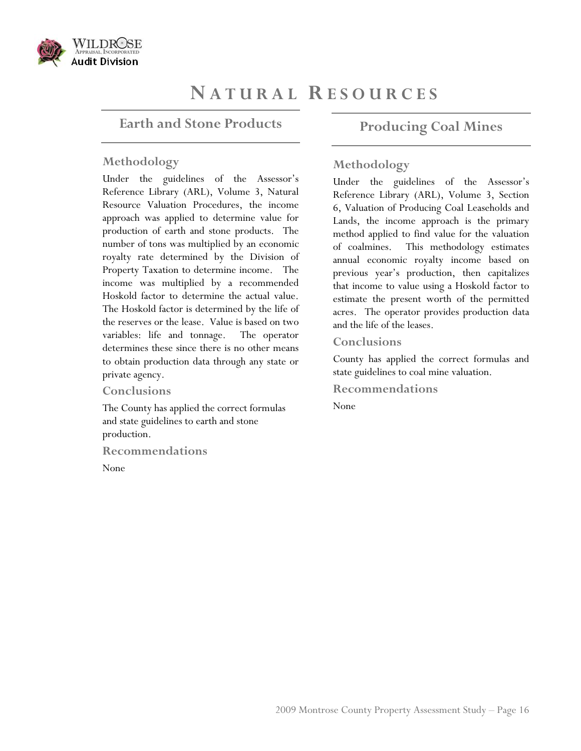

## **N ATURAL R ESOURCES**

### **Earth and Stone Products**

#### **Methodology**

Under the guidelines of the Assessor's Reference Library (ARL), Volume 3, Natural Resource Valuation Procedures, the income approach was applied to determine value for production of earth and stone products. The number of tons was multiplied by an economic royalty rate determined by the Division of Property Taxation to determine income. The income was multiplied by a recommended Hoskold factor to determine the actual value. The Hoskold factor is determined by the life of the reserves or the lease. Value is based on two variables: life and tonnage. The operator determines these since there is no other means to obtain production data through any state or private agency.

#### **Conclusions**

The County has applied the correct formulas and state guidelines to earth and stone production.

**Recommendations** 

None

## **Producing Coal Mines**

#### **Methodology**

Under the guidelines of the Assessor's Reference Library (ARL), Volume 3, Section 6, Valuation of Producing Coal Leaseholds and Lands, the income approach is the primary method applied to find value for the valuation of coalmines. This methodology estimates annual economic royalty income based on previous year's production, then capitalizes that income to value using a Hoskold factor to estimate the present worth of the permitted acres. The operator provides production data and the life of the leases.

#### **Conclusions**

County has applied the correct formulas and state guidelines to coal mine valuation.

**Recommendations**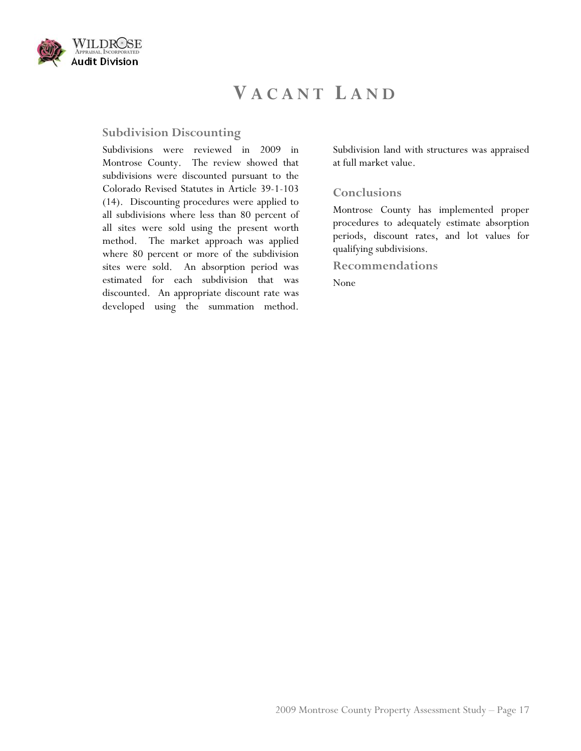

## **V ACANT L AND**

## **Subdivision Discounting**

Subdivisions were reviewed in 2009 in Montrose County. The review showed that subdivisions were discounted pursuant to the Colorado Revised Statutes in Article 39-1-103 (14). Discounting procedures were applied to all subdivisions where less than 80 percent of all sites were sold using the present worth method. The market approach was applied where 80 percent or more of the subdivision sites were sold. An absorption period was estimated for each subdivision that was discounted. An appropriate discount rate was developed using the summation method.

Subdivision land with structures was appraised at full market value.

#### **Conclusions**

Montrose County has implemented proper procedures to adequately estimate absorption periods, discount rates, and lot values for qualifying subdivisions.

**Recommendations**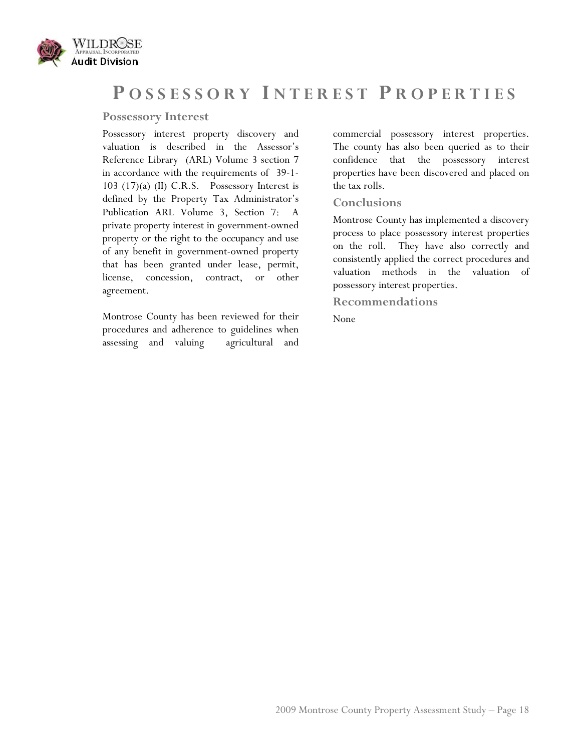

## **P OSSESSORY I NTEREST P ROPERTIES**

#### **Possessory Interest**

Possessory interest property discovery and valuation is described in the Assessor's Reference Library (ARL) Volume 3 section 7 in accordance with the requirements of 39-1- 103 (17)(a) (II) C.R.S. Possessory Interest is defined by the Property Tax Administrator's Publication ARL Volume 3, Section 7: A private property interest in government-owned property or the right to the occupancy and use of any benefit in government-owned property that has been granted under lease, permit, license, concession, contract, or other agreement.

Montrose County has been reviewed for their procedures and adherence to guidelines when assessing and valuing agricultural and commercial possessory interest properties. The county has also been queried as to their confidence that the possessory interest properties have been discovered and placed on the tax rolls.

#### **Conclusions**

Montrose County has implemented a discovery process to place possessory interest properties on the roll. They have also correctly and consistently applied the correct procedures and valuation methods in the valuation of possessory interest properties.

**Recommendations**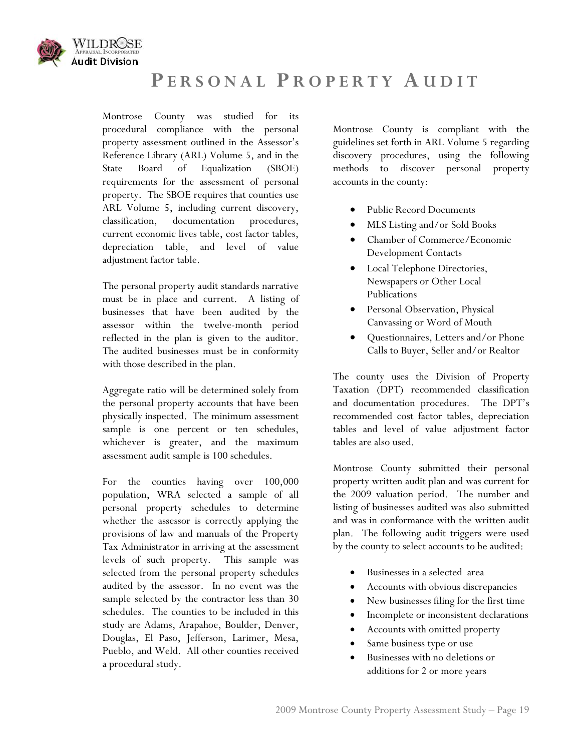

## **P ERSONAL P ROPERTY A UDIT**

Montrose County was studied for its procedural compliance with the personal property assessment outlined in the Assessor's Reference Library (ARL) Volume 5, and in the State Board of Equalization (SBOE) requirements for the assessment of personal property. The SBOE requires that counties use ARL Volume 5, including current discovery, classification, documentation procedures, current economic lives table, cost factor tables, depreciation table, and level of value adjustment factor table.

The personal property audit standards narrative must be in place and current. A listing of businesses that have been audited by the assessor within the twelve-month period reflected in the plan is given to the auditor. The audited businesses must be in conformity with those described in the plan.

Aggregate ratio will be determined solely from the personal property accounts that have been physically inspected. The minimum assessment sample is one percent or ten schedules, whichever is greater, and the maximum assessment audit sample is 100 schedules.

For the counties having over 100,000 population, WRA selected a sample of all personal property schedules to determine whether the assessor is correctly applying the provisions of law and manuals of the Property Tax Administrator in arriving at the assessment levels of such property. This sample was selected from the personal property schedules audited by the assessor. In no event was the sample selected by the contractor less than 30 schedules. The counties to be included in this study are Adams, Arapahoe, Boulder, Denver, Douglas, El Paso, Jefferson, Larimer, Mesa, Pueblo, and Weld. All other counties received a procedural study.

Montrose County is compliant with the guidelines set forth in ARL Volume 5 regarding discovery procedures, using the following methods to discover personal property accounts in the county:

- Public Record Documents
- MLS Listing and/or Sold Books
- Chamber of Commerce/Economic Development Contacts
- Local Telephone Directories, Newspapers or Other Local Publications
- Personal Observation, Physical Canvassing or Word of Mouth
- Questionnaires, Letters and/or Phone Calls to Buyer, Seller and/or Realtor

The county uses the Division of Property Taxation (DPT) recommended classification and documentation procedures. The DPT's recommended cost factor tables, depreciation tables and level of value adjustment factor tables are also used.

Montrose County submitted their personal property written audit plan and was current for the 2009 valuation period. The number and listing of businesses audited was also submitted and was in conformance with the written audit plan. The following audit triggers were used by the county to select accounts to be audited:

- Businesses in a selected area
- Accounts with obvious discrepancies
- New businesses filing for the first time
- Incomplete or inconsistent declarations
- Accounts with omitted property
- Same business type or use
- Businesses with no deletions or additions for 2 or more years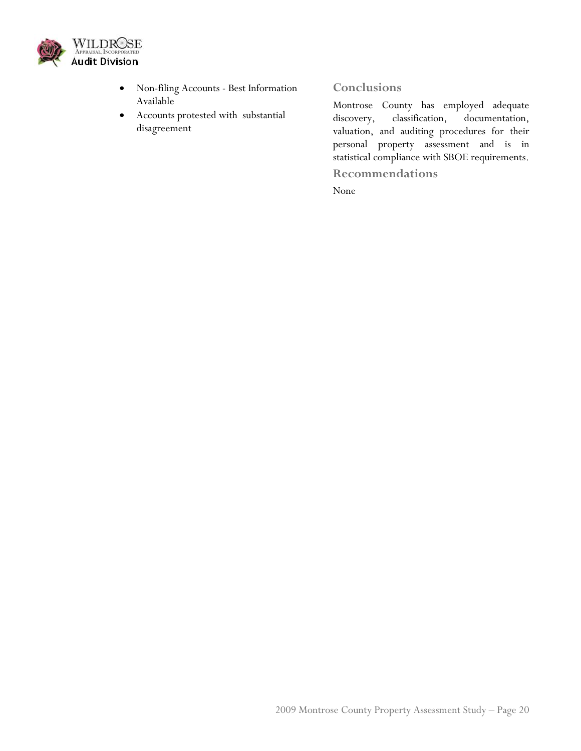

- Non-filing Accounts Best Information Available
- Accounts protested with substantial disagreement

## **Conclusions**

Montrose County has employed adequate discovery, classification, documentation, valuation, and auditing procedures for their personal property assessment and is in statistical compliance with SBOE requirements.

**Recommendations**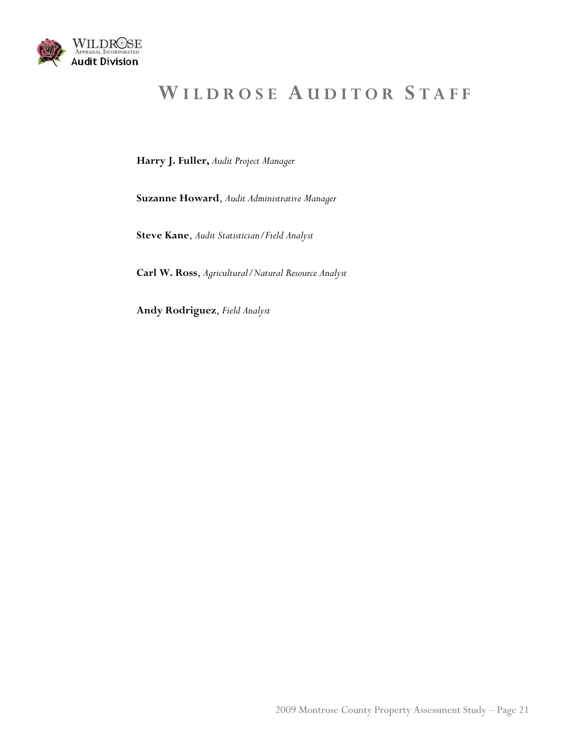

# **W ILDROSE A UDITOR S TAFF**

**Harry J. Fuller,** *Audit Project Manager*

**Suzanne Howard**, *Audit Administrative Manager*

**Steve Kane**, *Audit Statistician/Field Analyst* 

**Carl W. Ross**, *Agricultural/Natural Resource Analyst*

**Andy Rodriguez**, *Field Analyst*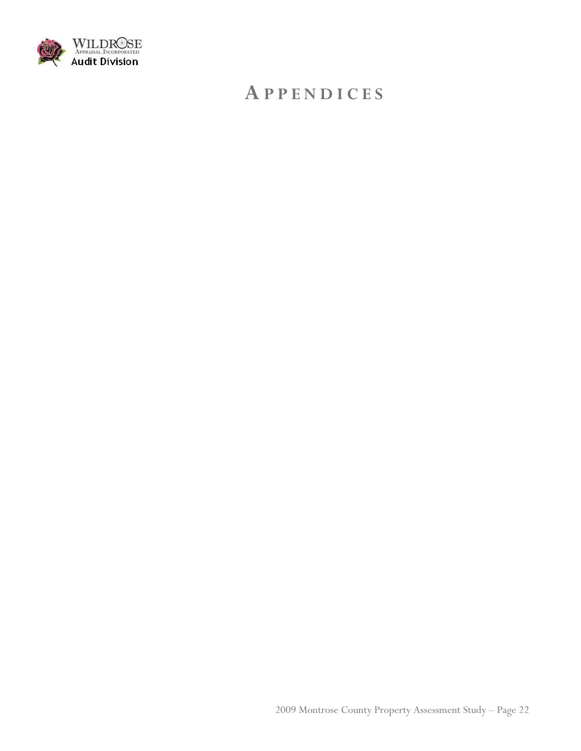

## **A PPENDICES**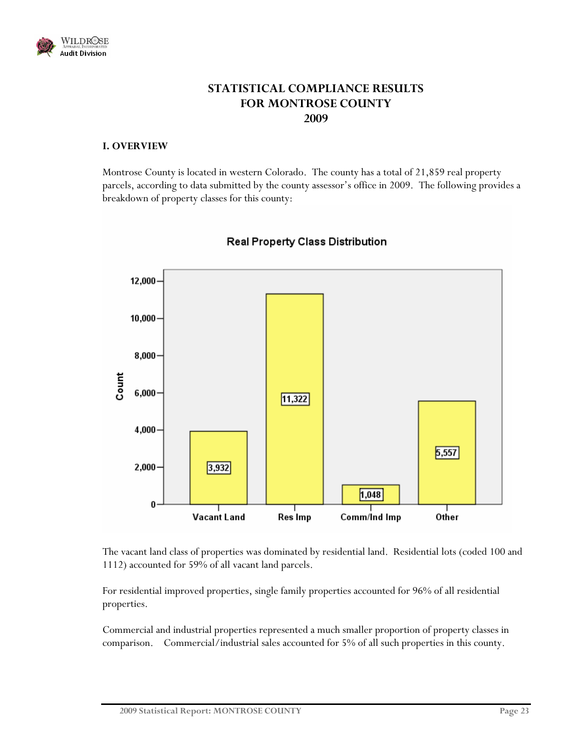

## **STATISTICAL COMPLIANCE RESULTS FOR MONTROSE COUNTY 2009**

#### **I. OVERVIEW**

Montrose County is located in western Colorado. The county has a total of 21,859 real property parcels, according to data submitted by the county assessor's office in 2009. The following provides a breakdown of property classes for this county:



## Real Property Class Distribution

The vacant land class of properties was dominated by residential land. Residential lots (coded 100 and 1112) accounted for 59% of all vacant land parcels.

For residential improved properties, single family properties accounted for 96% of all residential properties.

Commercial and industrial properties represented a much smaller proportion of property classes in comparison. Commercial/industrial sales accounted for 5% of all such properties in this county.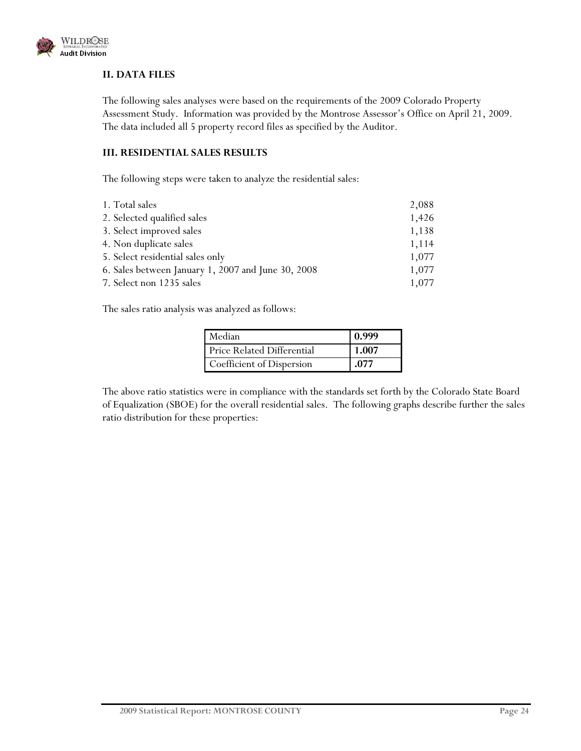

#### **II. DATA FILES**

The following sales analyses were based on the requirements of the 2009 Colorado Property Assessment Study. Information was provided by the Montrose Assessor's Office on April 21, 2009. The data included all 5 property record files as specified by the Auditor.

#### **III. RESIDENTIAL SALES RESULTS**

The following steps were taken to analyze the residential sales:

| 1. Total sales                                     | 2,088 |
|----------------------------------------------------|-------|
| 2. Selected qualified sales                        | 1,426 |
| 3. Select improved sales                           | 1,138 |
| 4. Non duplicate sales                             | 1,114 |
| 5. Select residential sales only                   | 1,077 |
| 6. Sales between January 1, 2007 and June 30, 2008 | 1,077 |
| 7. Select non 1235 sales                           | 1,077 |
|                                                    |       |

The sales ratio analysis was analyzed as follows:

| Median                     | 0.999 |
|----------------------------|-------|
| Price Related Differential | 1.007 |
| Coefficient of Dispersion  | .077  |

The above ratio statistics were in compliance with the standards set forth by the Colorado State Board of Equalization (SBOE) for the overall residential sales. The following graphs describe further the sales ratio distribution for these properties: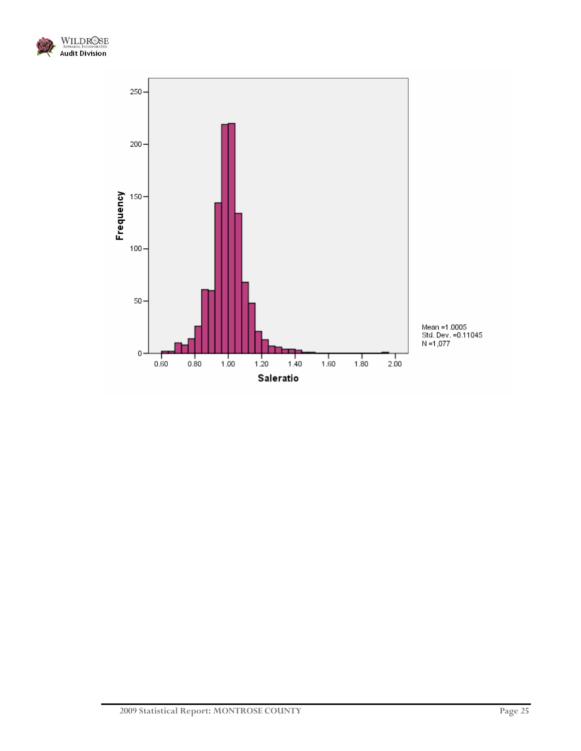

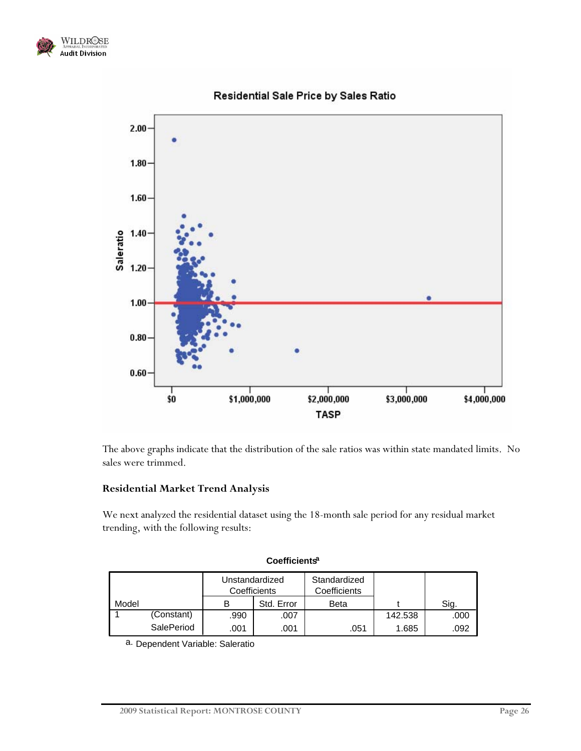



### Residential Sale Price by Sales Ratio

The above graphs indicate that the distribution of the sale ratios was within state mandated limits. No sales were trimmed.

#### **Residential Market Trend Analysis**

We next analyzed the residential dataset using the 18-month sale period for any residual market trending, with the following results:

|       |            | Unstandardized<br>Coefficients |            | Standardized<br>Coefficients |         |      |
|-------|------------|--------------------------------|------------|------------------------------|---------|------|
| Model |            |                                | Std. Error | Beta                         |         | Sig. |
|       | (Constant) | .990                           | .007       |                              | 142.538 | .000 |
|       | SalePeriod | .001                           | .001       | .051                         | 1.685   | .092 |

#### **Coefficientsa**

a. Dependent Variable: Saleratio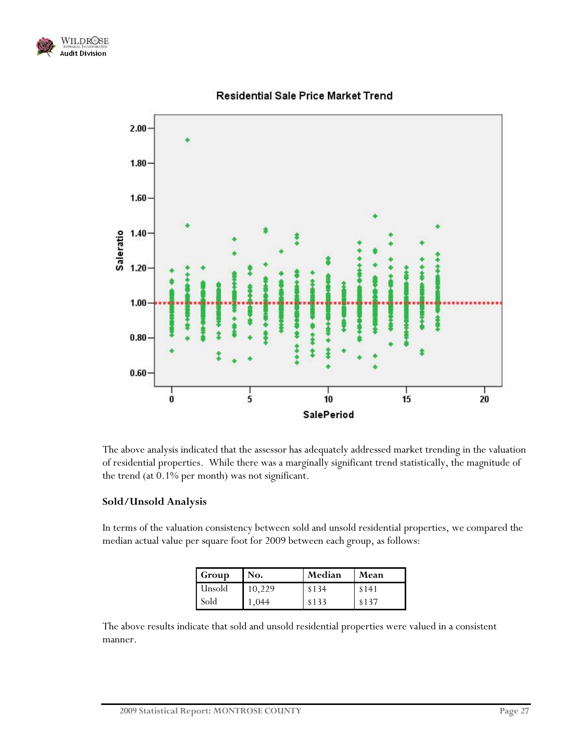



Residential Sale Price Market Trend

The above analysis indicated that the assessor has adequately addressed market trending in the valuation of residential properties. While there was a marginally significant trend statistically, the magnitude of the trend (at 0.1% per month) was not significant.

#### **Sold/Unsold Analysis**

In terms of the valuation consistency between sold and unsold residential properties, we compared the median actual value per square foot for 2009 between each group, as follows:

| Group  | No.    | Median | Mean  |
|--------|--------|--------|-------|
| Unsold | 10,229 | \$134  | \$141 |
| Sold   | 1,044  | \$133  | \$137 |

The above results indicate that sold and unsold residential properties were valued in a consistent manner.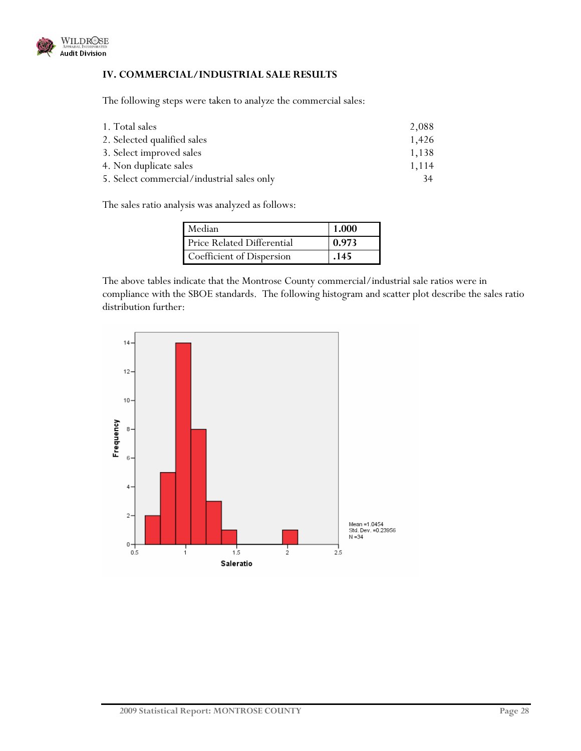

#### **IV. COMMERCIAL/INDUSTRIAL SALE RESULTS**

The following steps were taken to analyze the commercial sales:

| 1. Total sales                             | 2,088 |
|--------------------------------------------|-------|
| 2. Selected qualified sales                | 1,426 |
| 3. Select improved sales                   | 1,138 |
| 4. Non duplicate sales                     | 1,114 |
| 5. Select commercial/industrial sales only | 34    |

The sales ratio analysis was analyzed as follows:

| Median                            | 1.000 |
|-----------------------------------|-------|
| <b>Price Related Differential</b> | 0.973 |
| Coefficient of Dispersion         | .145  |

The above tables indicate that the Montrose County commercial/industrial sale ratios were in compliance with the SBOE standards. The following histogram and scatter plot describe the sales ratio distribution further:

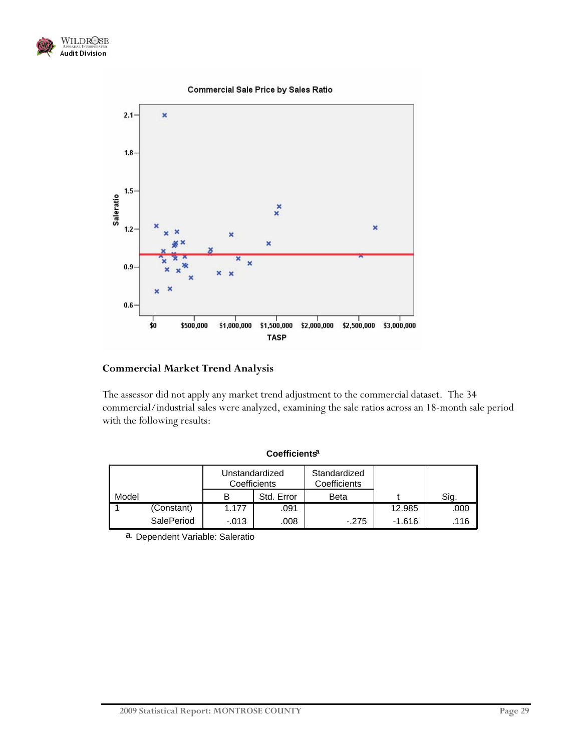

#### **Commercial Sale Price by Sales Ratio**



#### **Commercial Market Trend Analysis**

The assessor did not apply any market trend adjustment to the commercial dataset. The 34 commercial/industrial sales were analyzed, examining the sale ratios across an 18-month sale period with the following results:

|       |            | Unstandardized<br>Coefficients |            | Standardized<br>Coefficients |          |      |
|-------|------------|--------------------------------|------------|------------------------------|----------|------|
| Model |            | в                              | Std. Error | Beta                         |          | Sig. |
|       | (Constant) | 1.177                          | .091       |                              | 12.985   | .000 |
|       | SalePeriod | $-.013$                        | .008       | $-.275$                      | $-1.616$ | .116 |

**Coefficientsa**

a. Dependent Variable: Saleratio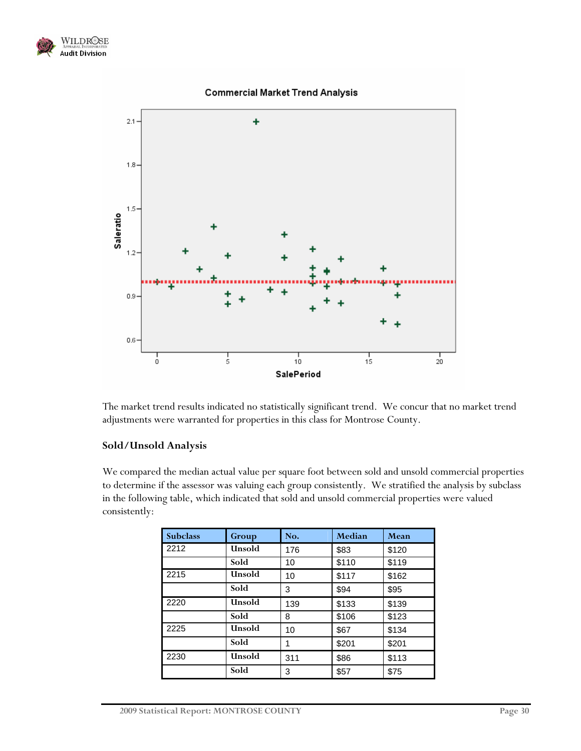



**Commercial Market Trend Analysis** 

The market trend results indicated no statistically significant trend. We concur that no market trend adjustments were warranted for properties in this class for Montrose County.

### **Sold/Unsold Analysis**

We compared the median actual value per square foot between sold and unsold commercial properties to determine if the assessor was valuing each group consistently. We stratified the analysis by subclass in the following table, which indicated that sold and unsold commercial properties were valued consistently:

| <b>Subclass</b> | Group         | No. | Median | Mean  |
|-----------------|---------------|-----|--------|-------|
| 2212            | Unsold        | 176 | \$83   | \$120 |
|                 | Sold          | 10  | \$110  | \$119 |
| 2215            | <b>Unsold</b> | 10  | \$117  | \$162 |
|                 | Sold          | 3   | \$94   | \$95  |
| 2220            | Unsold        | 139 | \$133  | \$139 |
|                 | Sold          | 8   | \$106  | \$123 |
| 2225            | <b>Unsold</b> | 10  | \$67   | \$134 |
|                 | Sold          | 1   | \$201  | \$201 |
| 2230            | Unsold        | 311 | \$86   | \$113 |
|                 | Sold          | 3   | \$57   | \$75  |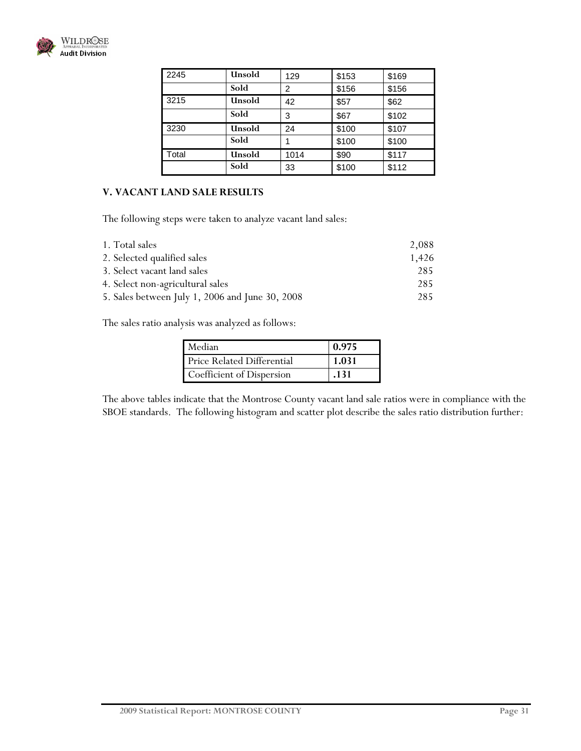

| 2245  | Unsold | 129            | \$153 | \$169 |
|-------|--------|----------------|-------|-------|
|       | Sold   | $\overline{2}$ | \$156 | \$156 |
| 3215  | Unsold | 42             | \$57  | \$62  |
|       | Sold   | 3              | \$67  | \$102 |
| 3230  | Unsold | 24             | \$100 | \$107 |
|       | Sold   |                | \$100 | \$100 |
| Total | Unsold | 1014           | \$90  | \$117 |
|       | Sold   | 33             | \$100 | \$112 |

#### **V. VACANT LAND SALE RESULTS**

The following steps were taken to analyze vacant land sales:

| 1. Total sales                                  | 2,088 |
|-------------------------------------------------|-------|
| 2. Selected qualified sales                     | 1,426 |
| 3. Select vacant land sales                     | 285   |
| 4. Select non-agricultural sales                | 285   |
| 5. Sales between July 1, 2006 and June 30, 2008 | 285   |

The sales ratio analysis was analyzed as follows:

| Median                     | 0.975 |
|----------------------------|-------|
| Price Related Differential | 1.031 |
| Coefficient of Dispersion  | .131  |

The above tables indicate that the Montrose County vacant land sale ratios were in compliance with the SBOE standards. The following histogram and scatter plot describe the sales ratio distribution further: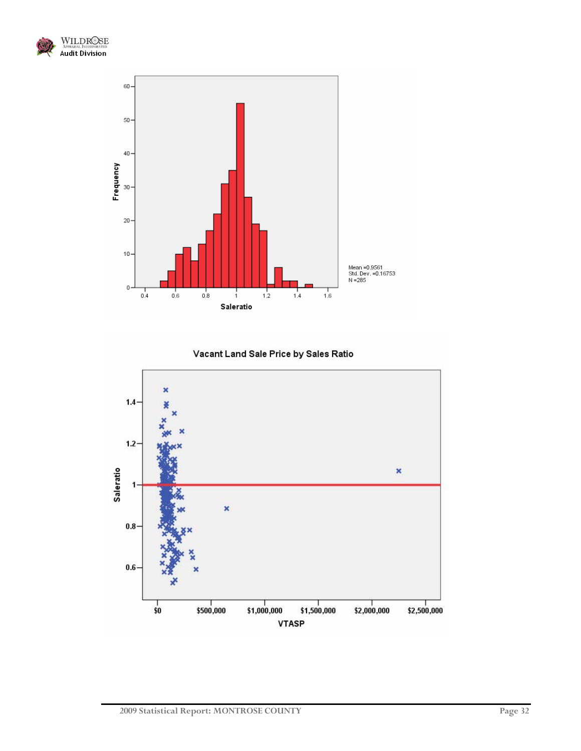



Vacant Land Sale Price by Sales Ratio

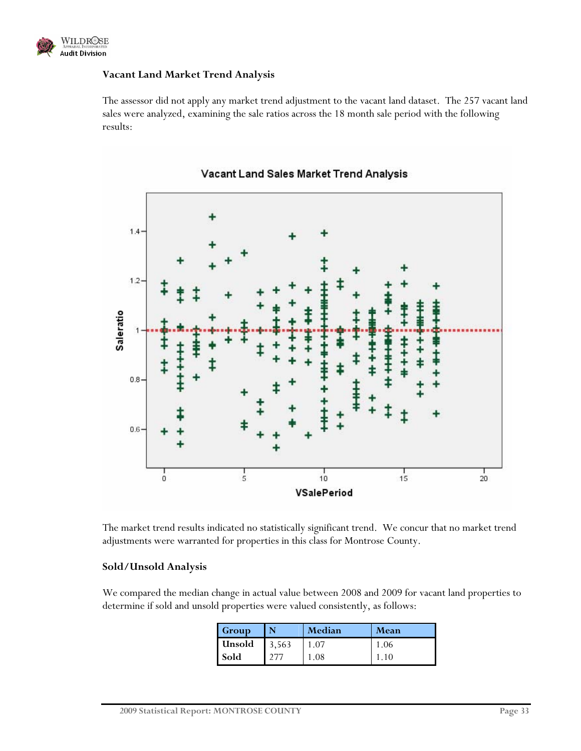

#### **Vacant Land Market Trend Analysis**

The assessor did not apply any market trend adjustment to the vacant land dataset. The 257 vacant land sales were analyzed, examining the sale ratios across the 18 month sale period with the following results:



Vacant Land Sales Market Trend Analysis

The market trend results indicated no statistically significant trend. We concur that no market trend adjustments were warranted for properties in this class for Montrose County.

#### **Sold/Unsold Analysis**

We compared the median change in actual value between 2008 and 2009 for vacant land properties to determine if sold and unsold properties were valued consistently, as follows:

| Group  |       | Median | Mean |
|--------|-------|--------|------|
| Unsold | 3,563 |        | 1.06 |
| Sold   |       | 08     |      |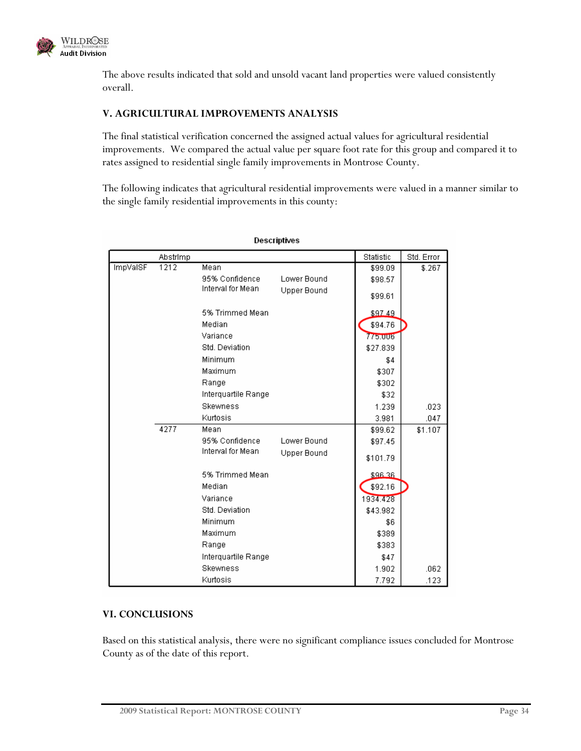

The above results indicated that sold and unsold vacant land properties were valued consistently overall.

#### **V. AGRICULTURAL IMPROVEMENTS ANALYSIS**

The final statistical verification concerned the assigned actual values for agricultural residential improvements. We compared the actual value per square foot rate for this group and compared it to rates assigned to residential single family improvements in Montrose County.

The following indicates that agricultural residential improvements were valued in a manner similar to the single family residential improvements in this county:

| Descriptives |          |                     |                    |           |            |
|--------------|----------|---------------------|--------------------|-----------|------------|
|              | Abstrimp |                     |                    | Statistic | Std. Error |
| ImpVaISF     | 1212     | Mean                |                    | \$99.09   | \$.267     |
|              |          | 95% Confidence      | Lower Bound        | \$98.57   |            |
|              |          | Interval for Mean   | <b>Upper Bound</b> | \$99.61   |            |
|              |          | 5% Trimmed Mean     |                    | \$97.49   |            |
|              |          | Median              |                    | \$94.76   |            |
|              |          | Variance            |                    | 775.006   |            |
|              |          | Std. Deviation      |                    | \$27.839  |            |
|              |          | Minimum             |                    | \$4       |            |
|              |          | Maximum             |                    | \$307     |            |
|              |          | Range               |                    | \$302     |            |
|              |          | Interquartile Range |                    | \$32      |            |
|              |          | <b>Skewness</b>     |                    | 1.239     | .023       |
|              |          | Kurtosis            |                    | 3.981     | .047       |
|              | 4277     | Mean                |                    | \$99.62   | \$1.107    |
|              |          | 95% Confidence      | Lower Bound        | \$97.45   |            |
|              |          | Interval for Mean   | Upper Bound        | \$101.79  |            |
|              |          | 5% Trimmed Mean     |                    | \$96.36   |            |
|              |          | Median              |                    | \$92.16   |            |
|              |          | Variance            |                    | 1934.428  |            |
|              |          | Std. Deviation      |                    | \$43.982  |            |
|              |          | Minimum             |                    | \$6       |            |
|              |          | Maximum             |                    | \$389     |            |
|              |          | Range               |                    | \$383     |            |
|              |          | Interquartile Range |                    | \$47      |            |
|              |          | <b>Skewness</b>     |                    | 1.902     | .062       |
|              |          | Kurtosis            |                    | 7.792     | .123       |

#### **VI. CONCLUSIONS**

Based on this statistical analysis, there were no significant compliance issues concluded for Montrose County as of the date of this report.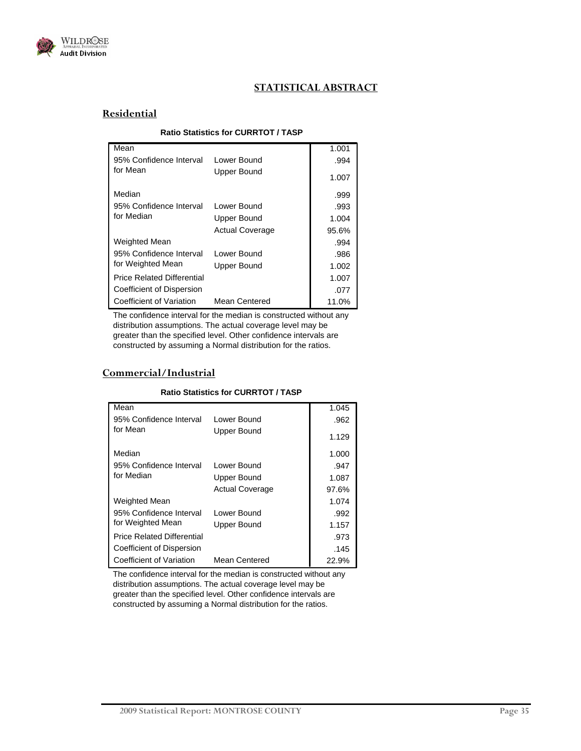

### **STATISTICAL ABSTRACT**

#### **Residential**

#### **Ratio Statistics for CURRTOT / TASP**

| Mean                              |                        | 1.001 |
|-----------------------------------|------------------------|-------|
| 95% Confidence Interval           | Lower Bound            | .994  |
| for Mean                          | Upper Bound            | 1.007 |
| Median                            |                        | .999  |
| 95% Confidence Interval           | Lower Bound            | .993  |
| for Median                        | Upper Bound            | 1.004 |
|                                   | <b>Actual Coverage</b> | 95.6% |
| Weighted Mean                     |                        | .994  |
| 95% Confidence Interval           | Lower Bound            | .986  |
| for Weighted Mean                 | Upper Bound            | 1.002 |
| <b>Price Related Differential</b> |                        | 1.007 |
| Coefficient of Dispersion         |                        | .077  |
| Coefficient of Variation          | <b>Mean Centered</b>   | 11.0% |

The confidence interval for the median is constructed without any distribution assumptions. The actual coverage level may be greater than the specified level. Other confidence intervals are constructed by assuming a Normal distribution for the ratios.

#### **Commercial/Industrial**

#### **Ratio Statistics for CURRTOT / TASP**

| Mean                              |                        | 1.045 |
|-----------------------------------|------------------------|-------|
| 95% Confidence Interval           | Lower Bound            | .962  |
| for Mean                          | Upper Bound            | 1.129 |
| Median                            |                        | 1.000 |
| 95% Confidence Interval           | Lower Bound            | .947  |
| for Median                        | Upper Bound            | 1.087 |
|                                   | <b>Actual Coverage</b> | 97.6% |
| Weighted Mean                     |                        | 1.074 |
| 95% Confidence Interval           | Lower Bound            | .992  |
| for Weighted Mean                 | Upper Bound            | 1.157 |
| <b>Price Related Differential</b> |                        | .973  |
| Coefficient of Dispersion         |                        | .145  |
| Coefficient of Variation          | Mean Centered          | 22.9% |

The confidence interval for the median is constructed without any distribution assumptions. The actual coverage level may be greater than the specified level. Other confidence intervals are constructed by assuming a Normal distribution for the ratios.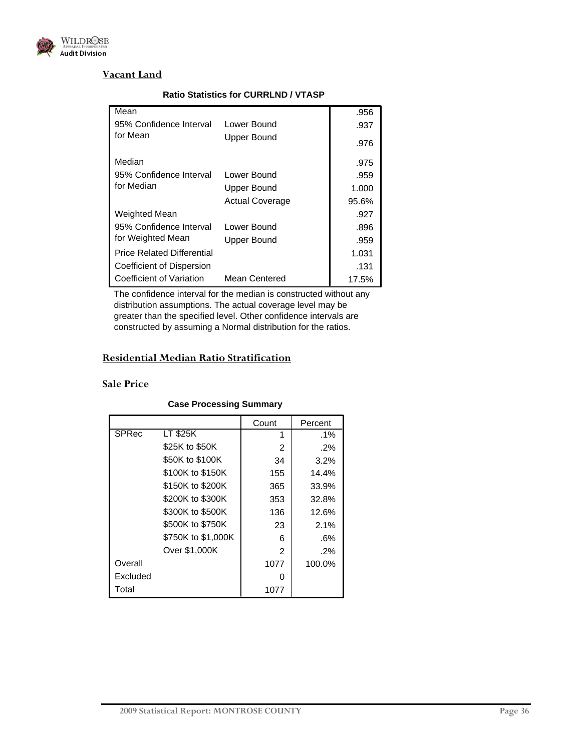

#### **Vacant Land**

| Mean                              |                        | .956  |
|-----------------------------------|------------------------|-------|
| 95% Confidence Interval           | Lower Bound            | .937  |
| for Mean                          | Upper Bound            | .976  |
| Median                            |                        | .975  |
| 95% Confidence Interval           | Lower Bound            | .959  |
| for Median                        | Upper Bound            | 1.000 |
|                                   | <b>Actual Coverage</b> | 95.6% |
| Weighted Mean                     |                        | .927  |
| 95% Confidence Interval           | Lower Bound            | .896  |
| for Weighted Mean                 | Upper Bound            | .959  |
| <b>Price Related Differential</b> |                        | 1.031 |
| Coefficient of Dispersion         |                        | .131  |
| Coefficient of Variation          | Mean Centered          | 17.5% |

#### **Ratio Statistics for CURRLND / VTASP**

The confidence interval for the median is constructed without any distribution assumptions. The actual coverage level may be greater than the specified level. Other confidence intervals are constructed by assuming a Normal distribution for the ratios.

#### **Residential Median Ratio Stratification**

#### **Sale Price**

#### **Case Processing Summary**

|          |                    | Count | Percent |
|----------|--------------------|-------|---------|
| SPRec    | LT \$25K           | 1     | .1%     |
|          | \$25K to \$50K     | 2     | $.2\%$  |
|          | \$50K to \$100K    | 34    | 3.2%    |
|          | \$100K to \$150K   | 155   | 14.4%   |
|          | \$150K to \$200K   | 365   | 33.9%   |
|          | \$200K to \$300K   | 353   | 32.8%   |
|          | \$300K to \$500K   | 136   | 12.6%   |
|          | \$500K to \$750K   | 23    | 2.1%    |
|          | \$750K to \$1,000K | 6     | .6%     |
|          | Over \$1,000K      | 2     | $.2\%$  |
| Overall  |                    | 1077  | 100.0%  |
| Excluded |                    | O     |         |
| Total    |                    | 1077  |         |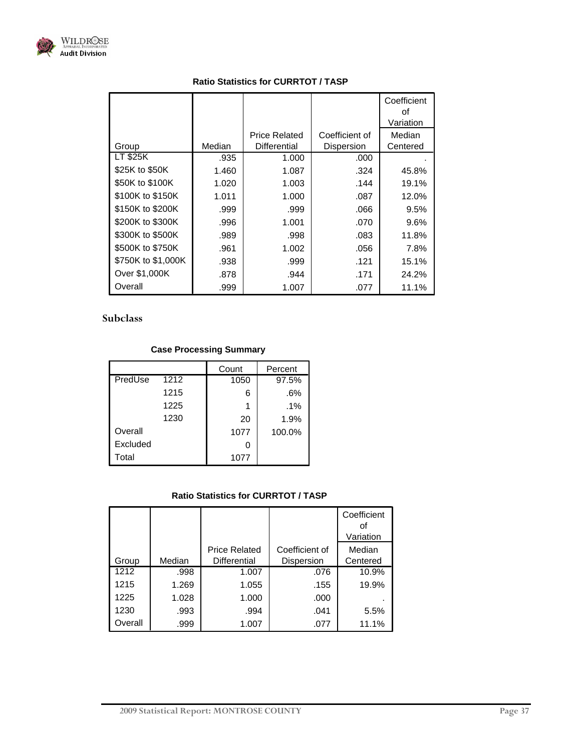

|                    |        |                      |                | Coefficient<br>οf<br>Variation |
|--------------------|--------|----------------------|----------------|--------------------------------|
|                    |        | <b>Price Related</b> | Coefficient of | Median                         |
| Group              | Median | Differential         | Dispersion     | Centered                       |
| LT \$25K           | .935   | 1.000                | .000           |                                |
| \$25K to \$50K     | 1.460  | 1.087                | .324           | 45.8%                          |
| \$50K to \$100K    | 1.020  | 1.003                | .144           | 19.1%                          |
| \$100K to \$150K   | 1.011  | 1.000                | .087           | 12.0%                          |
| \$150K to \$200K   | .999   | .999                 | .066           | 9.5%                           |
| \$200K to \$300K   | .996   | 1.001                | .070           | $9.6\%$                        |
| \$300K to \$500K   | .989   | .998                 | .083           | 11.8%                          |
| \$500K to \$750K   | .961   | 1.002                | .056           | 7.8%                           |
| \$750K to \$1,000K | .938   | .999                 | .121           | 15.1%                          |
| Over \$1,000K      | .878   | .944                 | .171           | 24.2%                          |
| Overall            | .999   | 1.007                | .077           | 11.1%                          |

### **Subclass**

### **Case Processing Summary**

|          |                   | Count | Percent |
|----------|-------------------|-------|---------|
| PredUse  | $12\overline{12}$ | 1050  | 97.5%   |
|          | 1215              | 6     | .6%     |
|          | 1225              | 1     | $.1\%$  |
|          | 1230              | 20    | 1.9%    |
| Overall  |                   | 1077  | 100.0%  |
| Excluded |                   | 0     |         |
| Total    |                   | 1077  |         |

|         |        |                      |                | Coefficient<br>οf<br>Variation |
|---------|--------|----------------------|----------------|--------------------------------|
|         |        | <b>Price Related</b> | Coefficient of | Median                         |
| Group   | Median | <b>Differential</b>  | Dispersion     | Centered                       |
| 1212    | .998   | 1.007                | .076           | 10.9%                          |
| 1215    | 1.269  | 1.055                | .155           | 19.9%                          |
| 1225    | 1.028  | 1.000                | .000           |                                |
| 1230    | .993   | .994                 | .041           | 5.5%                           |
| Overall | .999   | 1.007                | .077           | 11.1%                          |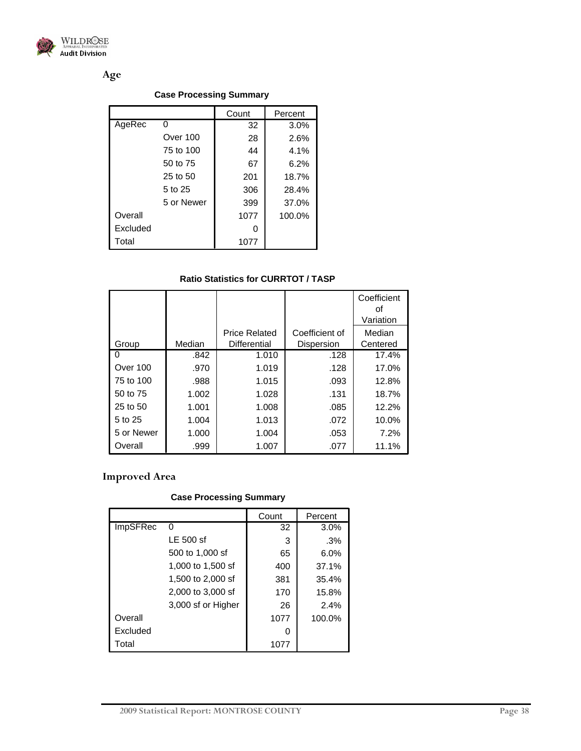

**Age** 

#### **Case Processing Summary**

|          |            | Count | Percent |
|----------|------------|-------|---------|
| AgeRec   | 0          | 32    | 3.0%    |
|          | Over 100   | 28    | 2.6%    |
|          | 75 to 100  | 44    | 4.1%    |
|          | 50 to 75   | 67    | 6.2%    |
|          | 25 to 50   | 201   | 18.7%   |
|          | 5 to 25    | 306   | 28.4%   |
|          | 5 or Newer | 399   | 37.0%   |
| Overall  |            | 1077  | 100.0%  |
| Excluded |            | 0     |         |
| Total    |            | 1077  |         |

#### **Ratio Statistics for CURRTOT / TASP**

|              |        |                      |                   | Coefficient<br>οf<br>Variation |
|--------------|--------|----------------------|-------------------|--------------------------------|
|              |        | <b>Price Related</b> | Coefficient of    | Median                         |
| Group        | Median | Differential         | <b>Dispersion</b> | Centered                       |
| $\mathbf{0}$ | .842   | 1.010                | .128              | 17.4%                          |
| Over 100     | .970   | 1.019                | .128              | 17.0%                          |
| 75 to 100    | .988   | 1.015                | .093              | 12.8%                          |
| 50 to 75     | 1.002  | 1.028                | .131              | 18.7%                          |
| 25 to 50     | 1.001  | 1.008                | .085              | 12.2%                          |
| 5 to 25      | 1.004  | 1.013                | .072              | 10.0%                          |
| 5 or Newer   | 1.000  | 1.004                | .053              | 7.2%                           |
| Overall      | .999   | 1.007                | .077              | 11.1%                          |

## **Improved Area**

## **Case Processing Summary**

|          |                    | Count | Percent |
|----------|--------------------|-------|---------|
| ImpSFRec | 0                  | 32    | 3.0%    |
|          | LE 500 sf          | 3     | .3%     |
|          | 500 to 1,000 sf    | 65    | 6.0%    |
|          | 1,000 to 1,500 sf  | 400   | 37.1%   |
|          | 1,500 to 2,000 sf  | 381   | 35.4%   |
|          | 2,000 to 3,000 sf  | 170   | 15.8%   |
|          | 3,000 sf or Higher | 26    | 2.4%    |
| Overall  |                    | 1077  | 100.0%  |
| Excluded |                    | O     |         |
| Total    |                    | 1077  |         |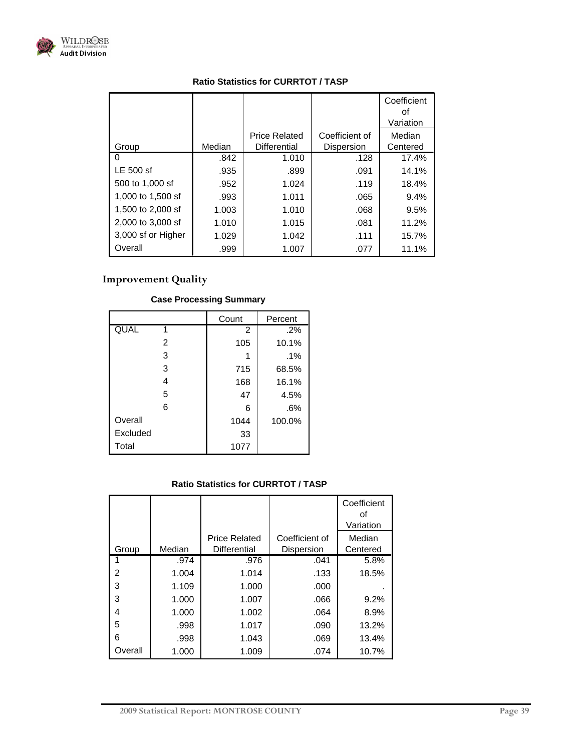

|                    |        |                      |                   | Coefficient<br>οf<br>Variation |
|--------------------|--------|----------------------|-------------------|--------------------------------|
|                    |        | <b>Price Related</b> | Coefficient of    | Median                         |
| Group              | Median | Differential         | <b>Dispersion</b> | Centered                       |
|                    | .842   | 1.010                | .128              | 17.4%                          |
| LE 500 sf          | .935   | .899                 | .091              | 14.1%                          |
| 500 to 1,000 sf    | .952   | 1.024                | .119              | 18.4%                          |
| 1,000 to 1,500 sf  | .993   | 1.011                | .065              | 9.4%                           |
| 1,500 to 2,000 sf  | 1.003  | 1.010                | .068              | 9.5%                           |
| 2,000 to 3,000 sf  | 1.010  | 1.015                | .081              | 11.2%                          |
| 3,000 sf or Higher | 1.029  | 1.042                | .111              | 15.7%                          |
| Overall            | .999   | 1.007                | .077              | 11.1%                          |

## **Improvement Quality**

|          | Count | Percent |
|----------|-------|---------|
| QUAL     | 2     | $.2\%$  |
| 2        | 105   | 10.1%   |
| 3        |       | $.1\%$  |
| 3        | 715   | 68.5%   |
| 4        | 168   | 16.1%   |
| 5        | 47    | 4.5%    |
| 6        | 6     | .6%     |
| Overall  | 1044  | 100.0%  |
| Excluded | 33    |         |
| Total    | 1077  |         |

## **Case Processing Summary**

|         |        |                                      |                              | Coefficient<br>οf<br>Variation |
|---------|--------|--------------------------------------|------------------------------|--------------------------------|
| Group   | Median | <b>Price Related</b><br>Differential | Coefficient of<br>Dispersion | Median<br>Centered             |
|         | .974   | .976                                 | .041                         | 5.8%                           |
| 2       | 1.004  | 1.014                                | .133                         | 18.5%                          |
| 3       | 1.109  | 1.000                                | .000                         |                                |
| 3       | 1.000  | 1.007                                | .066                         | 9.2%                           |
| 4       | 1.000  | 1.002                                | .064                         | 8.9%                           |
| 5       | .998   | 1.017                                | .090                         | 13.2%                          |
| 6       | .998   | 1.043                                | .069                         | 13.4%                          |
| Overall | 1.000  | 1.009                                | .074                         | 10.7%                          |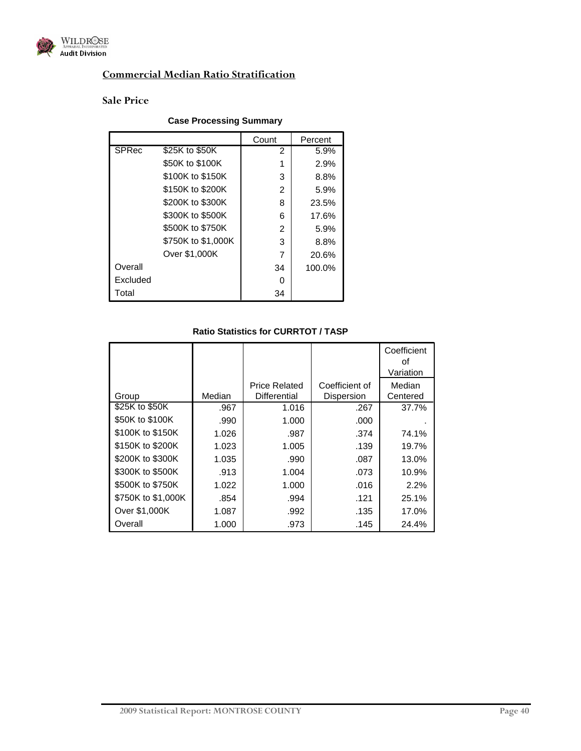

## **Commercial Median Ratio Stratification**

## **Sale Price**

#### **Case Processing Summary**

|              |                    | Count | Percent |
|--------------|--------------------|-------|---------|
| <b>SPRec</b> | \$25K to \$50K     | 2     | 5.9%    |
|              | \$50K to \$100K    |       | 2.9%    |
|              | \$100K to \$150K   | 3     | 8.8%    |
|              | \$150K to \$200K   | 2     | 5.9%    |
|              | \$200K to \$300K   | 8     | 23.5%   |
|              | \$300K to \$500K   | 6     | 17.6%   |
|              | \$500K to \$750K   | 2     | 5.9%    |
|              | \$750K to \$1,000K | 3     | 8.8%    |
|              | Over \$1,000K      |       | 20.6%   |
| Overall      |                    | 34    | 100.0%  |
| Excluded     |                    |       |         |
| Total        |                    | 34    |         |

|                    |        |                      |                | Coefficient<br>οt<br>Variation |
|--------------------|--------|----------------------|----------------|--------------------------------|
|                    |        | <b>Price Related</b> | Coefficient of | Median                         |
| Group              | Median | Differential         | Dispersion     | Centered                       |
| \$25K to \$50K     | .967   | 1.016                | .267           | 37.7%                          |
| \$50K to \$100K    | .990   | 1.000                | .000           |                                |
| \$100K to \$150K   | 1.026  | .987                 | .374           | 74.1%                          |
| \$150K to \$200K   | 1.023  | 1.005                | .139           | 19.7%                          |
| \$200K to \$300K   | 1.035  | .990                 | .087           | 13.0%                          |
| \$300K to \$500K   | .913   | 1.004                | .073           | 10.9%                          |
| \$500K to \$750K   | 1.022  | 1.000                | .016           | 2.2%                           |
| \$750K to \$1,000K | .854   | .994                 | .121           | 25.1%                          |
| Over \$1,000K      | 1.087  | .992                 | .135           | 17.0%                          |
| Overall            | 1.000  | .973                 | .145           | 24.4%                          |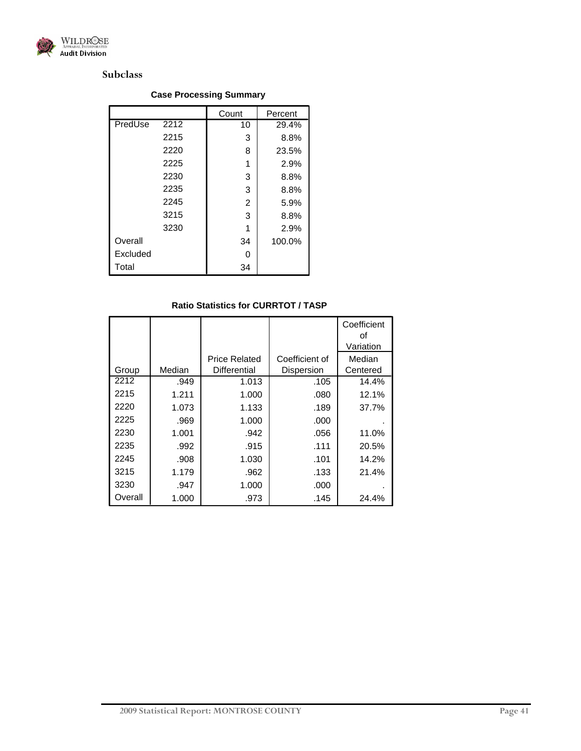

#### **Subclass**

#### 10 29.4%  $3 | 8.8%$ 8 23.5%  $1 | 2.9\%$  $3 | 8.8%$  $3 | 8.8%$ 2 5.9%  $3 | 8.8%$  $1 | 2.9\%$ 34 100.0% 0 34 2212 2215 2220 2225 2230 2235 2245 3215 3230 PredUse **Overall** Excluded Total Count | Percent

#### **Case Processing Summary**

|         |        |                      |                | Coefficient<br>οf<br>Variation |
|---------|--------|----------------------|----------------|--------------------------------|
|         |        | <b>Price Related</b> | Coefficient of |                                |
|         |        |                      |                | Median                         |
| Group   | Median | Differential         | Dispersion     | Centered                       |
| 2212    | .949   | 1.013                | .105           | 14.4%                          |
| 2215    | 1.211  | 1.000                | .080           | 12.1%                          |
| 2220    | 1.073  | 1.133                | .189           | 37.7%                          |
| 2225    | .969   | 1.000                | .000           |                                |
| 2230    | 1.001  | .942                 | .056           | 11.0%                          |
| 2235    | .992   | .915                 | .111           | 20.5%                          |
| 2245    | .908   | 1.030                | .101           | 14.2%                          |
| 3215    | 1.179  | .962                 | .133           | 21.4%                          |
| 3230    | .947   | 1.000                | .000           |                                |
| Overall | 1.000  | .973                 | .145           | 24.4%                          |